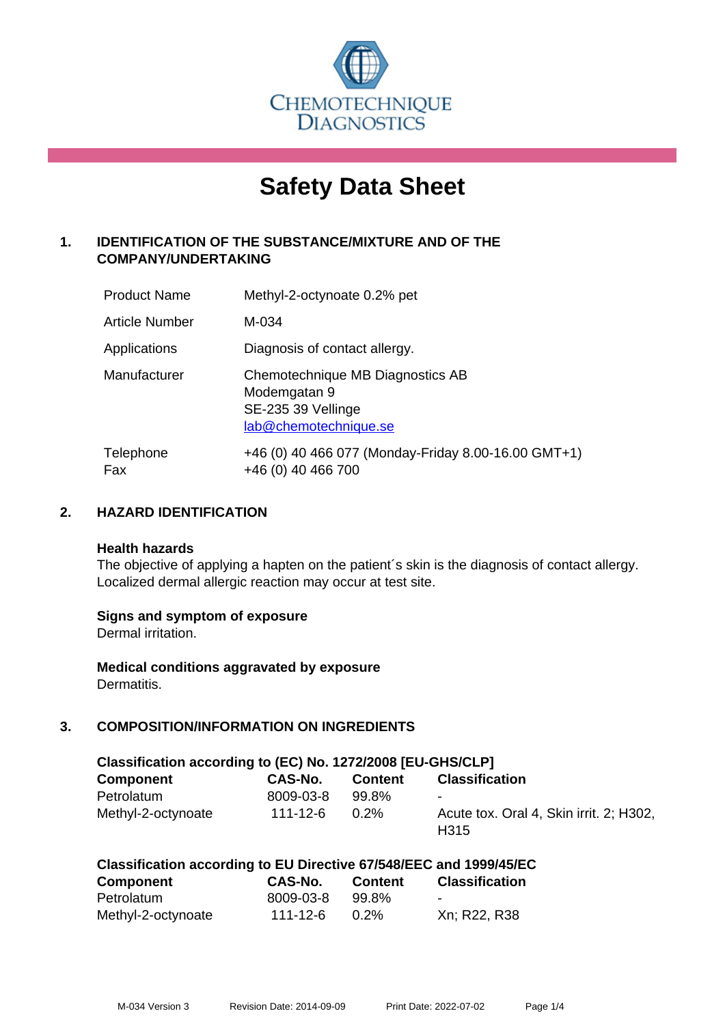

# **Safety Data Sheet**

# **1. IDENTIFICATION OF THE SUBSTANCE/MIXTURE AND OF THE COMPANY/UNDERTAKING**

| <b>Product Name</b> | Methyl-2-octynoate 0.2% pet                                                                     |
|---------------------|-------------------------------------------------------------------------------------------------|
| Article Number      | M-034                                                                                           |
| Applications        | Diagnosis of contact allergy.                                                                   |
| Manufacturer        | Chemotechnique MB Diagnostics AB<br>Modemgatan 9<br>SE-235 39 Vellinge<br>lab@chemotechnique.se |
| Telephone<br>Fax    | +46 (0) 40 466 077 (Monday-Friday 8.00-16.00 GMT+1)<br>+46 (0) 40 466 700                       |

## **2. HAZARD IDENTIFICATION**

#### **Health hazards**

The objective of applying a hapten on the patient's skin is the diagnosis of contact allergy. Localized dermal allergic reaction may occur at test site.

## **Signs and symptom of exposure**

Dermal irritation.

**Medical conditions aggravated by exposure** Dermatitis.

# **3. COMPOSITION/INFORMATION ON INGREDIENTS**

| Classification according to (EC) No. 1272/2008 [EU-GHS/CLP] |           |                |                                                             |  |  |
|-------------------------------------------------------------|-----------|----------------|-------------------------------------------------------------|--|--|
| <b>Component</b>                                            | CAS-No.   | <b>Content</b> | <b>Classification</b>                                       |  |  |
| Petrolatum                                                  | 8009-03-8 | 99.8%          | $\blacksquare$                                              |  |  |
| Methyl-2-octynoate                                          | 111-12-6  | $0.2\%$        | Acute tox. Oral 4, Skin irrit. 2; H302,<br>H <sub>315</sub> |  |  |

| <b>Component</b>   | CAS-No.   | <b>Content</b> | <b>Classification</b> |
|--------------------|-----------|----------------|-----------------------|
| Petrolatum         | 8009-03-8 | 99.8%          | $\sim$                |
| Methyl-2-octynoate | 111-12-6  | $0.2\%$        | Xn; R22, R38          |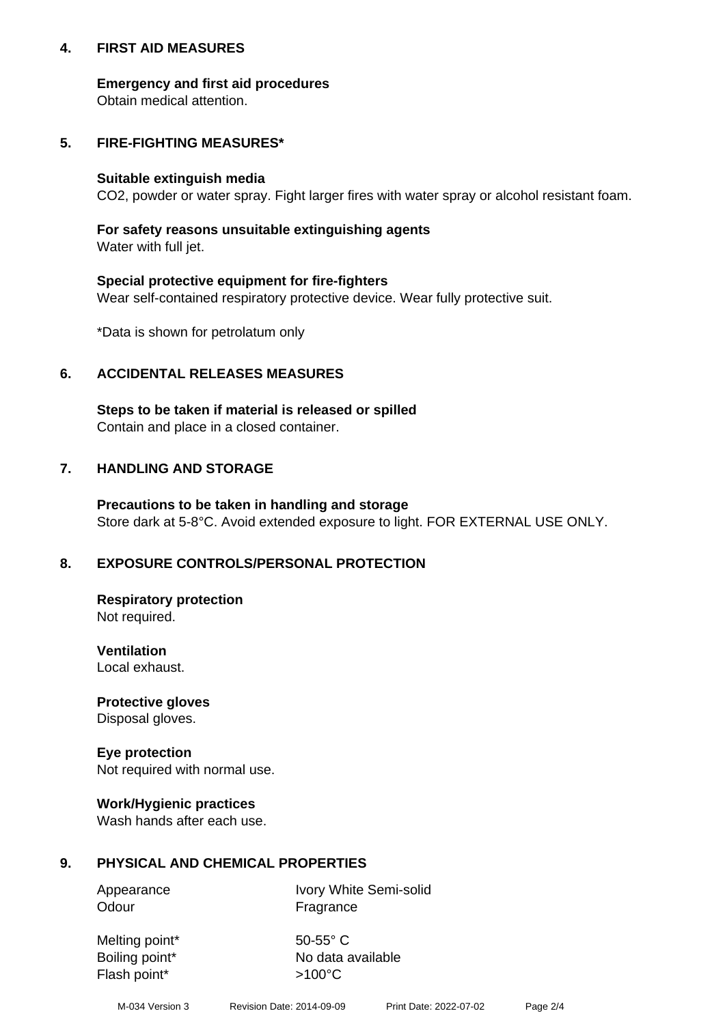## **4. FIRST AID MEASURES**

## **Emergency and first aid procedures**

Obtain medical attention.

# **5. FIRE-FIGHTING MEASURES\***

#### **Suitable extinguish media**

CO2, powder or water spray. Fight larger fires with water spray or alcohol resistant foam.

# **For safety reasons unsuitable extinguishing agents**

Water with full jet.

## **Special protective equipment for fire-fighters**

Wear self-contained respiratory protective device. Wear fully protective suit.

\*Data is shown for petrolatum only

## **6. ACCIDENTAL RELEASES MEASURES**

**Steps to be taken if material is released or spilled** Contain and place in a closed container.

# **7. HANDLING AND STORAGE**

**Precautions to be taken in handling and storage** Store dark at 5-8°C. Avoid extended exposure to light. FOR EXTERNAL USE ONLY.

# **8. EXPOSURE CONTROLS/PERSONAL PROTECTION**

**Respiratory protection** Not required.

**Ventilation** Local exhaust.

**Protective gloves** Disposal gloves.

#### **Eye protection** Not required with normal use.

## **Work/Hygienic practices**

Wash hands after each use.

## **9. PHYSICAL AND CHEMICAL PROPERTIES**

Odour Fragrance

Appearance Ivory White Semi-solid

Melting point\* 50-55° C Flash point\*  $>100^{\circ}$ C

Boiling point\* No data available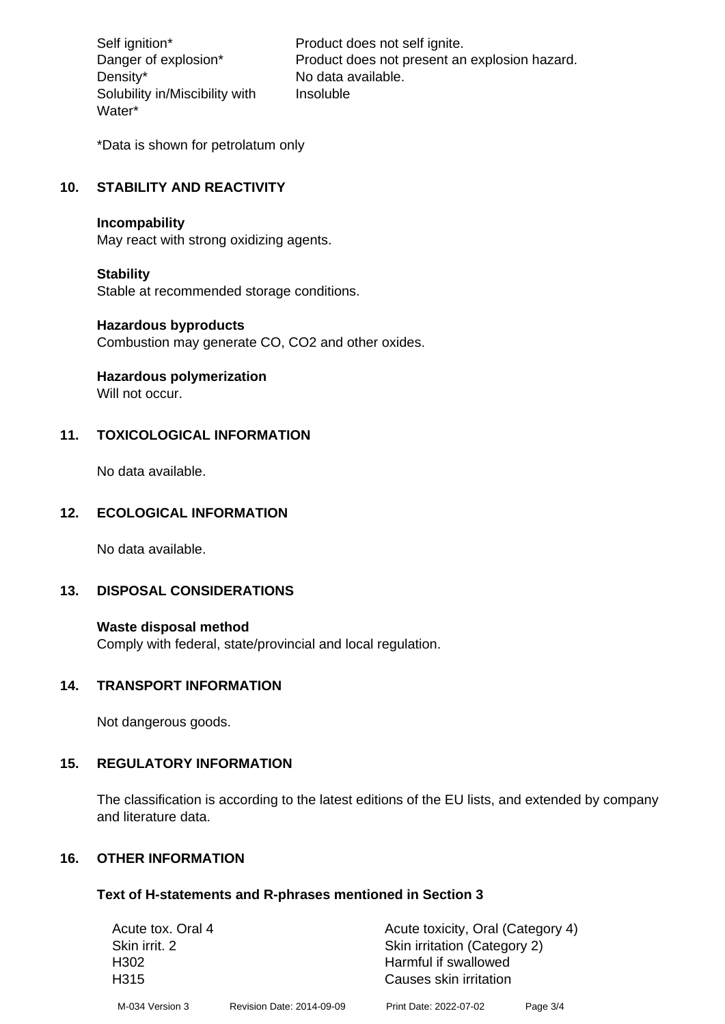Density\* No data available. Solubility in/Miscibility with Water\*

Self ignition\* Product does not self ignite. Danger of explosion\* Product does not present an explosion hazard. Insoluble

\*Data is shown for petrolatum only

# **10. STABILITY AND REACTIVITY**

#### **Incompability**

May react with strong oxidizing agents.

#### **Stability**

Stable at recommended storage conditions.

#### **Hazardous byproducts**

Combustion may generate CO, CO2 and other oxides.

**Hazardous polymerization**

Will not occur.

## **11. TOXICOLOGICAL INFORMATION**

No data available.

#### **12. ECOLOGICAL INFORMATION**

No data available.

## **13. DISPOSAL CONSIDERATIONS**

#### **Waste disposal method**

Comply with federal, state/provincial and local regulation.

#### **14. TRANSPORT INFORMATION**

Not dangerous goods.

## **15. REGULATORY INFORMATION**

The classification is according to the latest editions of the EU lists, and extended by company and literature data.

#### **16. OTHER INFORMATION**

#### **Text of H-statements and R-phrases mentioned in Section 3**

| Acute tox. Oral 4 |                           | Acute toxicity, Oral (Category 4) |          |  |
|-------------------|---------------------------|-----------------------------------|----------|--|
| Skin irrit. 2     |                           | Skin irritation (Category 2)      |          |  |
| H302              | Harmful if swallowed      |                                   |          |  |
| H <sub>315</sub>  |                           | Causes skin irritation            |          |  |
| M-034 Version 3   | Revision Date: 2014-09-09 | Print Date: 2022-07-02            | Page 3/4 |  |